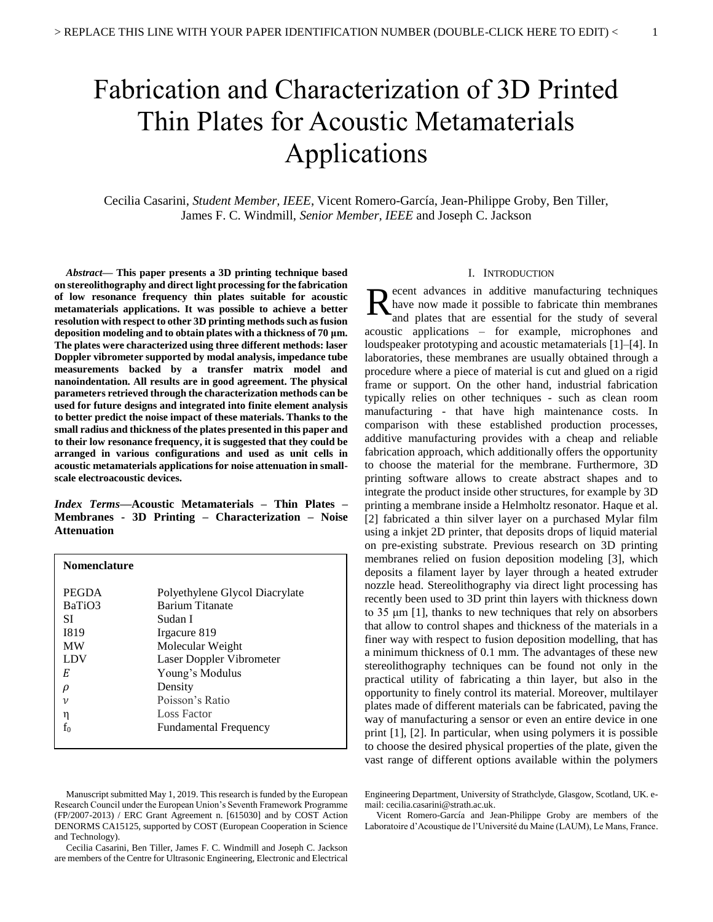# Fabrication and Characterization of 3D Printed Thin Plates for Acoustic Metamaterials Applications

Cecilia Casarini, *Student Member, IEEE*, Vicent Romero-García, Jean-Philippe Groby, Ben Tiller, James F. C. Windmill, *Senior Member, IEEE* and Joseph C. Jackson

*Abstract***— This paper presents a 3D printing technique based on stereolithography and direct light processing for the fabrication of low resonance frequency thin plates suitable for acoustic metamaterials applications. It was possible to achieve a better resolution with respect to other 3D printing methods such as fusion deposition modeling and to obtain plates with a thickness of 70 μm. The plates were characterized using three different methods: laser Doppler vibrometer supported by modal analysis, impedance tube measurements backed by a transfer matrix model and nanoindentation. All results are in good agreement. The physical parameters retrieved through the characterization methods can be used for future designs and integrated into finite element analysis to better predict the noise impact of these materials. Thanks to the small radius and thickness of the plates presented in this paper and to their low resonance frequency, it is suggested that they could be arranged in various configurations and used as unit cells in acoustic metamaterials applications for noise attenuation in smallscale electroacoustic devices.**

*Index Terms***—Acoustic Metamaterials – Thin Plates – Membranes - 3D Printing – Characterization – Noise Attenuation** 

| <b>Nomenclature</b> |                                |
|---------------------|--------------------------------|
| <b>PEGDA</b>        | Polyethylene Glycol Diacrylate |
| BaTiO3              | <b>Barium Titanate</b>         |
| SI                  | Sudan I                        |
| <b>I819</b>         | Irgacure 819                   |
| <b>MW</b>           | Molecular Weight               |
| LDV                 | Laser Doppler Vibrometer       |
| E                   | Young's Modulus                |
| ρ                   | Density                        |
| ν                   | Poisson's Ratio                |
| η                   | <b>Loss Factor</b>             |
| f0                  | <b>Fundamental Frequency</b>   |

Manuscript submitted May 1, 2019. This research is funded by the European Research Council under the European Union's Seventh Framework Programme (FP/2007-2013) / ERC Grant Agreement n. [615030] and by COST Action DENORMS CA15125, supported by COST (European Cooperation in Science and Technology).

Cecilia Casarini, Ben Tiller, James F. C. Windmill and Joseph C. Jackson are members of the Centre for Ultrasonic Engineering, Electronic and Electrical

# I. INTRODUCTION

Recent advances in additive manufacturing techniques<br>have now made it possible to fabricate thin membranes<br>and plates that are essential for the study of several have now made it possible to fabricate thin membranes and plates that are essential for the study of several acoustic applications – for example, microphones and loudspeaker prototyping and acoustic metamaterials [1]–[4]. In laboratories, these membranes are usually obtained through a procedure where a piece of material is cut and glued on a rigid frame or support. On the other hand, industrial fabrication typically relies on other techniques - such as clean room manufacturing - that have high maintenance costs. In comparison with these established production processes, additive manufacturing provides with a cheap and reliable fabrication approach, which additionally offers the opportunity to choose the material for the membrane. Furthermore, 3D printing software allows to create abstract shapes and to integrate the product inside other structures, for example by 3D printing a membrane inside a Helmholtz resonator. Haque et al. [2] fabricated a thin silver layer on a purchased Mylar film using a inkjet 2D printer, that deposits drops of liquid material on pre-existing substrate. Previous research on 3D printing membranes relied on fusion deposition modeling [3], which deposits a filament layer by layer through a heated extruder nozzle head. Stereolithography via direct light processing has recently been used to 3D print thin layers with thickness down to 35 μm [1], thanks to new techniques that rely on absorbers that allow to control shapes and thickness of the materials in a finer way with respect to fusion deposition modelling, that has a minimum thickness of 0.1 mm. The advantages of these new stereolithography techniques can be found not only in the practical utility of fabricating a thin layer, but also in the opportunity to finely control its material. Moreover, multilayer plates made of different materials can be fabricated, paving the way of manufacturing a sensor or even an entire device in one print [1], [2]. In particular, when using polymers it is possible to choose the desired physical properties of the plate, given the vast range of different options available within the polymers

Engineering Department, University of Strathclyde, Glasgow, Scotland, UK. email[: cecilia.casarini@strath.ac.uk.](mailto:cecilia.casarini@strath.ac.uk)

Vicent Romero-García and Jean-Philippe Groby are members of the Laboratoire d'Acoustique de l'Université du Maine (LAUM), Le Mans, France.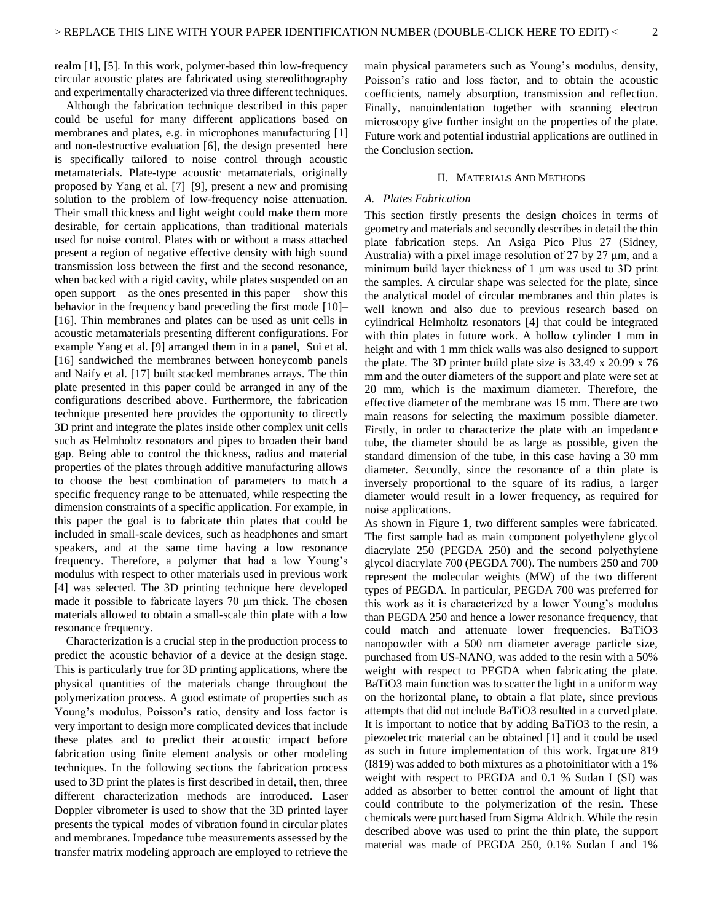realm [1], [5]. In this work, polymer-based thin low-frequency circular acoustic plates are fabricated using stereolithography and experimentally characterized via three different techniques.

Although the fabrication technique described in this paper could be useful for many different applications based on membranes and plates, e.g. in microphones manufacturing [1] and non-destructive evaluation [6], the design presented here is specifically tailored to noise control through acoustic metamaterials. Plate-type acoustic metamaterials, originally proposed by Yang et al. [7]–[9], present a new and promising solution to the problem of low-frequency noise attenuation. Their small thickness and light weight could make them more desirable, for certain applications, than traditional materials used for noise control. Plates with or without a mass attached present a region of negative effective density with high sound transmission loss between the first and the second resonance, when backed with a rigid cavity, while plates suspended on an open support – as the ones presented in this paper – show this behavior in the frequency band preceding the first mode [10]– [16]. Thin membranes and plates can be used as unit cells in acoustic metamaterials presenting different configurations. For example Yang et al. [9] arranged them in in a panel, Sui et al. [16] sandwiched the membranes between honeycomb panels and Naify et al. [17] built stacked membranes arrays. The thin plate presented in this paper could be arranged in any of the configurations described above. Furthermore, the fabrication technique presented here provides the opportunity to directly 3D print and integrate the plates inside other complex unit cells such as Helmholtz resonators and pipes to broaden their band gap. Being able to control the thickness, radius and material properties of the plates through additive manufacturing allows to choose the best combination of parameters to match a specific frequency range to be attenuated, while respecting the dimension constraints of a specific application. For example, in this paper the goal is to fabricate thin plates that could be included in small-scale devices, such as headphones and smart speakers, and at the same time having a low resonance frequency. Therefore, a polymer that had a low Young's modulus with respect to other materials used in previous work [4] was selected. The 3D printing technique here developed made it possible to fabricate layers 70 μm thick. The chosen materials allowed to obtain a small-scale thin plate with a low resonance frequency.

Characterization is a crucial step in the production process to predict the acoustic behavior of a device at the design stage. This is particularly true for 3D printing applications, where the physical quantities of the materials change throughout the polymerization process. A good estimate of properties such as Young's modulus, Poisson's ratio, density and loss factor is very important to design more complicated devices that include these plates and to predict their acoustic impact before fabrication using finite element analysis or other modeling techniques. In the following sections the fabrication process used to 3D print the plates is first described in detail, then, three different characterization methods are introduced. Laser Doppler vibrometer is used to show that the 3D printed layer presents the typical modes of vibration found in circular plates and membranes. Impedance tube measurements assessed by the transfer matrix modeling approach are employed to retrieve the main physical parameters such as Young's modulus, density, Poisson's ratio and loss factor, and to obtain the acoustic coefficients, namely absorption, transmission and reflection. Finally, nanoindentation together with scanning electron microscopy give further insight on the properties of the plate. Future work and potential industrial applications are outlined in the Conclusion section.

# II. MATERIALS AND METHODS

# *A. Plates Fabrication*

This section firstly presents the design choices in terms of geometry and materials and secondly describes in detail the thin plate fabrication steps. An Asiga Pico Plus 27 (Sidney, Australia) with a pixel image resolution of 27 by 27 μm, and a minimum build layer thickness of 1 μm was used to 3D print the samples. A circular shape was selected for the plate, since the analytical model of circular membranes and thin plates is well known and also due to previous research based on cylindrical Helmholtz resonators [4] that could be integrated with thin plates in future work. A hollow cylinder 1 mm in height and with 1 mm thick walls was also designed to support the plate. The 3D printer build plate size is 33.49 x 20.99 x 76 mm and the outer diameters of the support and plate were set at 20 mm, which is the maximum diameter. Therefore, the effective diameter of the membrane was 15 mm. There are two main reasons for selecting the maximum possible diameter. Firstly, in order to characterize the plate with an impedance tube, the diameter should be as large as possible, given the standard dimension of the tube, in this case having a 30 mm diameter. Secondly, since the resonance of a thin plate is inversely proportional to the square of its radius, a larger diameter would result in a lower frequency, as required for noise applications.

As shown in Figure 1, two different samples were fabricated. The first sample had as main component polyethylene glycol diacrylate 250 (PEGDA 250) and the second polyethylene glycol diacrylate 700 (PEGDA 700). The numbers 250 and 700 represent the molecular weights (MW) of the two different types of PEGDA. In particular, PEGDA 700 was preferred for this work as it is characterized by a lower Young's modulus than PEGDA 250 and hence a lower resonance frequency, that could match and attenuate lower frequencies. BaTiO3 nanopowder with a 500 nm diameter average particle size, purchased from US-NANO, was added to the resin with a 50% weight with respect to PEGDA when fabricating the plate. BaTiO3 main function was to scatter the light in a uniform way on the horizontal plane, to obtain a flat plate, since previous attempts that did not include BaTiO3 resulted in a curved plate. It is important to notice that by adding BaTiO3 to the resin, a piezoelectric material can be obtained [1] and it could be used as such in future implementation of this work. Irgacure 819 (I819) was added to both mixtures as a photoinitiator with a 1% weight with respect to PEGDA and 0.1 % Sudan I (SI) was added as absorber to better control the amount of light that could contribute to the polymerization of the resin. These chemicals were purchased from Sigma Aldrich. While the resin described above was used to print the thin plate, the support material was made of PEGDA 250, 0.1% Sudan I and 1%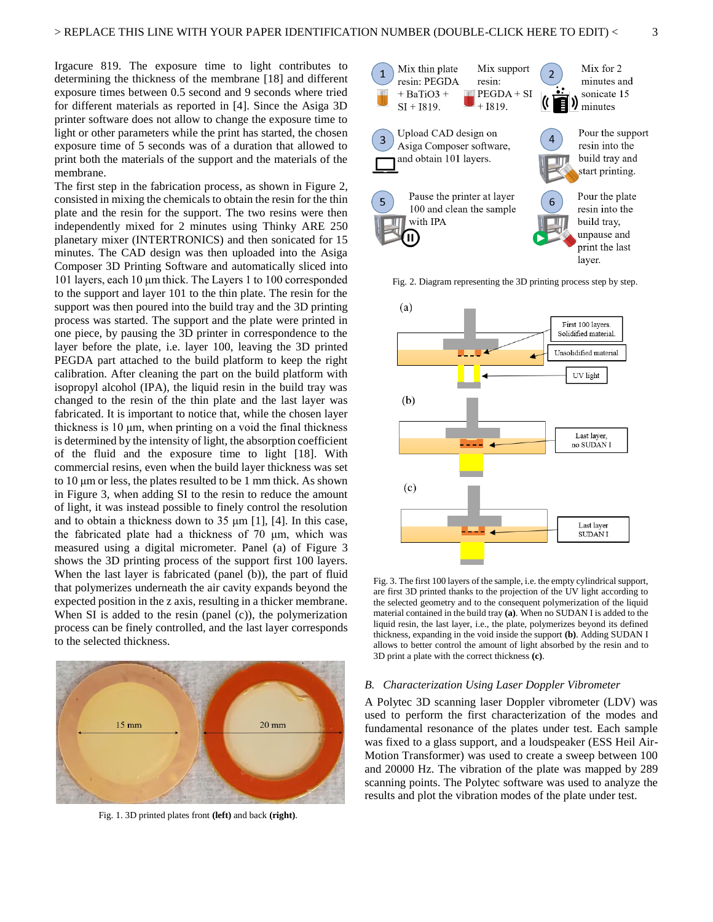Irgacure 819. The exposure time to light contributes to determining the thickness of the membrane [18] and different exposure times between 0.5 second and 9 seconds where tried for different materials as reported in [4]. Since the Asiga 3D printer software does not allow to change the exposure time to light or other parameters while the print has started, the chosen exposure time of 5 seconds was of a duration that allowed to print both the materials of the support and the materials of the membrane.

The first step in the fabrication process, as shown in Figure 2, consisted in mixing the chemicals to obtain the resin for the thin plate and the resin for the support. The two resins were then independently mixed for 2 minutes using Thinky ARE 250 planetary mixer (INTERTRONICS) and then sonicated for 15 minutes. The CAD design was then uploaded into the Asiga Composer 3D Printing Software and automatically sliced into 101 layers, each 10 μm thick. The Layers 1 to 100 corresponded to the support and layer 101 to the thin plate. The resin for the support was then poured into the build tray and the 3D printing process was started. The support and the plate were printed in one piece, by pausing the 3D printer in correspondence to the layer before the plate, i.e. layer 100, leaving the 3D printed PEGDA part attached to the build platform to keep the right calibration. After cleaning the part on the build platform with isopropyl alcohol (IPA), the liquid resin in the build tray was changed to the resin of the thin plate and the last layer was fabricated. It is important to notice that, while the chosen layer thickness is 10 μm, when printing on a void the final thickness is determined by the intensity of light, the absorption coefficient of the fluid and the exposure time to light [18]. With commercial resins, even when the build layer thickness was set to 10 μm or less, the plates resulted to be 1 mm thick. As shown in Figure 3, when adding SI to the resin to reduce the amount of light, it was instead possible to finely control the resolution and to obtain a thickness down to 35 μm [1], [4]. In this case, the fabricated plate had a thickness of 70 μm, which was measured using a digital micrometer. Panel (a) of Figure 3 shows the 3D printing process of the support first 100 layers. When the last layer is fabricated (panel (b)), the part of fluid that polymerizes underneath the air cavity expands beyond the expected position in the z axis, resulting in a thicker membrane. When SI is added to the resin (panel (c)), the polymerization process can be finely controlled, and the last layer corresponds to the selected thickness.



Fig. 1. 3D printed plates front **(left)** and back **(right)**.



Fig. 2. Diagram representing the 3D printing process step by step.



Fig. 3. The first 100 layers of the sample, i.e. the empty cylindrical support, are first 3D printed thanks to the projection of the UV light according to the selected geometry and to the consequent polymerization of the liquid material contained in the build tray **(a)**. When no SUDAN I is added to the liquid resin, the last layer, i.e., the plate, polymerizes beyond its defined thickness, expanding in the void inside the support **(b)**. Adding SUDAN I allows to better control the amount of light absorbed by the resin and to 3D print a plate with the correct thickness **(c)**.

# *B. Characterization Using Laser Doppler Vibrometer*

A Polytec 3D scanning laser Doppler vibrometer (LDV) was used to perform the first characterization of the modes and fundamental resonance of the plates under test. Each sample was fixed to a glass support, and a loudspeaker (ESS Heil Air-Motion Transformer) was used to create a sweep between 100 and 20000 Hz. The vibration of the plate was mapped by 289 scanning points. The Polytec software was used to analyze the results and plot the vibration modes of the plate under test.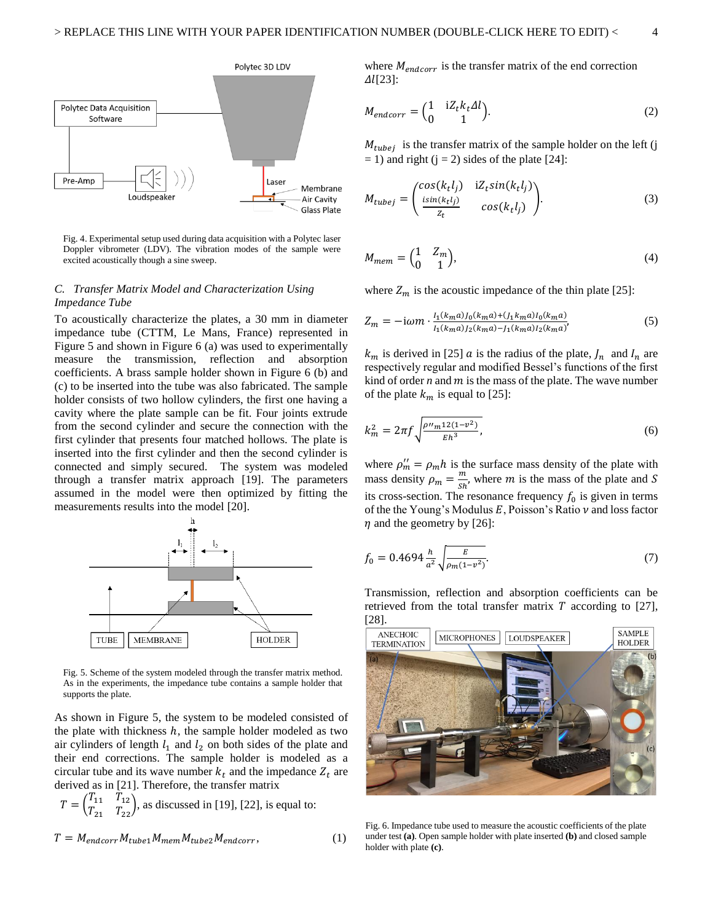

Fig. 4. Experimental setup used during data acquisition with a Polytec laser Doppler vibrometer (LDV). The vibration modes of the sample were excited acoustically though a sine sweep.

# *C. Transfer Matrix Model and Characterization Using Impedance Tube*

To acoustically characterize the plates, a 30 mm in diameter impedance tube (CTTM, Le Mans, France) represented in Figure 5 and shown in Figure 6 (a) was used to experimentally measure the transmission, reflection and absorption coefficients. A brass sample holder shown in Figure 6 (b) and (c) to be inserted into the tube was also fabricated. The sample holder consists of two hollow cylinders, the first one having a cavity where the plate sample can be fit. Four joints extrude from the second cylinder and secure the connection with the first cylinder that presents four matched hollows. The plate is inserted into the first cylinder and then the second cylinder is connected and simply secured. The system was modeled through a transfer matrix approach [19]. The parameters assumed in the model were then optimized by fitting the measurements results into the model [20].



Fig. 5. Scheme of the system modeled through the transfer matrix method. As in the experiments, the impedance tube contains a sample holder that supports the plate.

As shown in Figure 5, the system to be modeled consisted of the plate with thickness  $h$ , the sample holder modeled as two air cylinders of length  $l_1$  and  $l_2$  on both sides of the plate and their end corrections. The sample holder is modeled as a circular tube and its wave number  $k_t$  and the impedance  $Z_t$  are derived as in [21]. Therefore, the transfer matrix

$$
T = \begin{pmatrix} T_{11} & T_{12} \\ T_{21} & T_{22} \end{pmatrix}
$$
, as discussed in [19], [22], is equal to:  

$$
T = M_{endcorr} M_{tube1} M_{mem} M_{tube2} M_{endcorr},
$$
(1)

where  $M_{endcorr}$  is the transfer matrix of the end correction  $\Delta$ *l*[23]:

$$
M_{endcorr} = \begin{pmatrix} 1 & iZ_t k_t \Delta l \\ 0 & 1 \end{pmatrix}.
$$
 (2)

 $M_{tube}$  is the transfer matrix of the sample holder on the left (j  $= 1$ ) and right (j = 2) sides of the plate [24]:

$$
M_{tubej} = \begin{pmatrix} cos(k_t l_j) & iZ_t sin(k_t l_j) \\ \frac{isin(k_t l_j)}{z_t} & cos(k_t l_j) \end{pmatrix}.
$$
 (3)

$$
M_{mem} = \begin{pmatrix} 1 & Z_m \\ 0 & 1 \end{pmatrix},\tag{4}
$$

where  $Z_m$  is the acoustic impedance of the thin plate [25]:

$$
Z_m = -i\omega m \cdot \frac{I_1(k_m a)J_0(k_m a) + (J_1 k_m a)I_0(k_m a)}{I_1(k_m a)J_2(k_m a) - J_1(k_m a)I_2(k_m a)}\tag{5}
$$

 $k_m$  is derived in [25]  $\alpha$  is the radius of the plate,  $J_n$  and  $I_n$  are respectively regular and modified Bessel's functions of the first kind of order  $n$  and  $m$  is the mass of the plate. The wave number of the plate  $k_m$  is equal to [25]:

$$
k_m^2 = 2\pi f \sqrt{\frac{\rho n m^{12(1-\nu^2)}}{Eh^3}},\tag{6}
$$

where  $\rho_m'' = \rho_m h$  is the surface mass density of the plate with mass density  $\rho_m = \frac{m}{sh}$  $\frac{m}{\delta h}$ , where *m* is the mass of the plate and *S* its cross-section. The resonance frequency  $f_0$  is given in terms of the the Young's Modulus  $E$ , Poisson's Ratio  $\nu$  and loss factor  $\eta$  and the geometry by [26]:

$$
f_0 = 0.4694 \frac{h}{a^2} \sqrt{\frac{E}{\rho_m (1 - v^2)}}.
$$
\n(7)

Transmission, reflection and absorption coefficients can be retrieved from the total transfer matrix  $T$  according to [27], [28].



Fig. 6. Impedance tube used to measure the acoustic coefficients of the plate under test **(a)**. Open sample holder with plate inserted **(b)** and closed sample holder with plate **(c)**.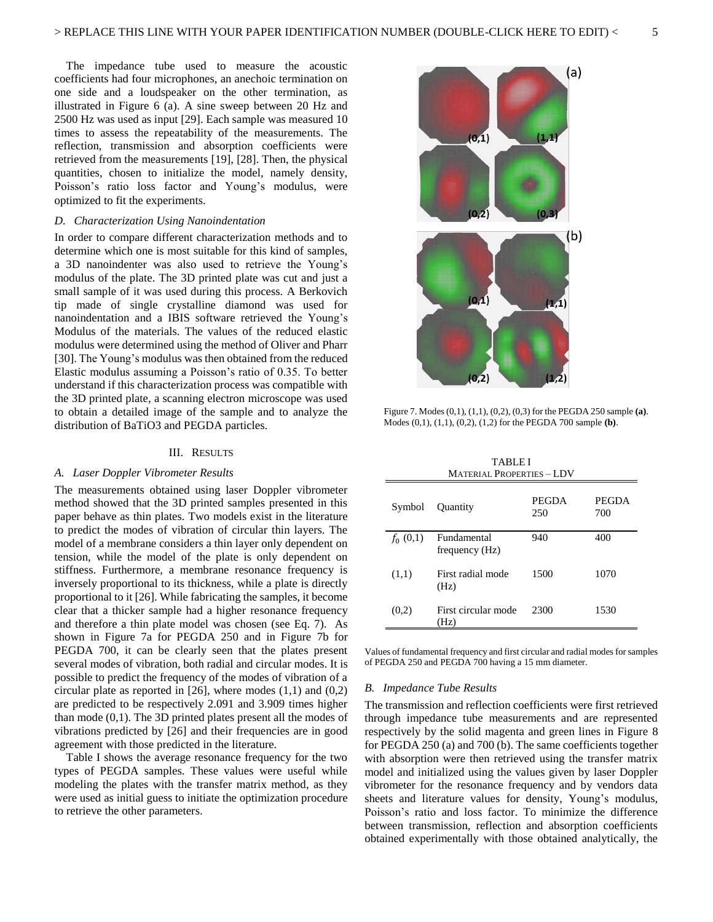The impedance tube used to measure the acoustic coefficients had four microphones, an anechoic termination on one side and a loudspeaker on the other termination, as illustrated in Figure 6 (a). A sine sweep between 20 Hz and 2500 Hz was used as input [29]. Each sample was measured 10 times to assess the repeatability of the measurements. The reflection, transmission and absorption coefficients were retrieved from the measurements [19], [28]. Then, the physical quantities, chosen to initialize the model, namely density, Poisson's ratio loss factor and Young's modulus, were optimized to fit the experiments.

#### *D. Characterization Using Nanoindentation*

In order to compare different characterization methods and to determine which one is most suitable for this kind of samples, a 3D nanoindenter was also used to retrieve the Young's modulus of the plate. The 3D printed plate was cut and just a small sample of it was used during this process. A Berkovich tip made of single crystalline diamond was used for nanoindentation and a IBIS software retrieved the Young's Modulus of the materials. The values of the reduced elastic modulus were determined using the method of Oliver and Pharr [30]. The Young's modulus was then obtained from the reduced Elastic modulus assuming a Poisson's ratio of 0.35. To better understand if this characterization process was compatible with the 3D printed plate, a scanning electron microscope was used to obtain a detailed image of the sample and to analyze the distribution of BaTiO3 and PEGDA particles.

#### III. RESULTS

# *A. Laser Doppler Vibrometer Results*

The measurements obtained using laser Doppler vibrometer method showed that the 3D printed samples presented in this paper behave as thin plates. Two models exist in the literature to predict the modes of vibration of circular thin layers. The model of a membrane considers a thin layer only dependent on tension, while the model of the plate is only dependent on stiffness. Furthermore, a membrane resonance frequency is inversely proportional to its thickness, while a plate is directly proportional to it [26]. While fabricating the samples, it become clear that a thicker sample had a higher resonance frequency and therefore a thin plate model was chosen (see Eq. 7). As shown in Figure 7a for PEGDA 250 and in Figure 7b for PEGDA 700, it can be clearly seen that the plates present several modes of vibration, both radial and circular modes. It is possible to predict the frequency of the modes of vibration of a circular plate as reported in  $[26]$ , where modes  $(1,1)$  and  $(0,2)$ are predicted to be respectively 2.091 and 3.909 times higher than mode (0,1). The 3D printed plates present all the modes of vibrations predicted by [26] and their frequencies are in good agreement with those predicted in the literature.

Table I shows the average resonance frequency for the two types of PEGDA samples. These values were useful while modeling the plates with the transfer matrix method, as they were used as initial guess to initiate the optimization procedure to retrieve the other parameters.



Figure 7. Modes (0,1), (1,1), (0,2), (0,3) for the PEGDA 250 sample **(a)**. Modes (0,1), (1,1), (0,2), (1,2) for the PEGDA 700 sample **(b)**.

| <b>TABLEI</b>                    |
|----------------------------------|
| <b>MATERIAL PROPERTIES - LDV</b> |

| Symbol     | Quantity                      | PEGDA<br>250 | <b>PEGDA</b><br>700 |
|------------|-------------------------------|--------------|---------------------|
| $f_0(0,1)$ | Fundamental<br>frequency (Hz) | 940          | 400                 |
| (1,1)      | First radial mode<br>(Hz)     | 1500         | 1070                |
| (0,2)      | First circular mode<br>(Hz)   | 2300         | 1530                |

Values of fundamental frequency and first circular and radial modes for samples of PEGDA 250 and PEGDA 700 having a 15 mm diameter.

# *B. Impedance Tube Results*

The transmission and reflection coefficients were first retrieved through impedance tube measurements and are represented respectively by the solid magenta and green lines in Figure 8 for PEGDA 250 (a) and 700 (b). The same coefficients together with absorption were then retrieved using the transfer matrix model and initialized using the values given by laser Doppler vibrometer for the resonance frequency and by vendors data sheets and literature values for density, Young's modulus, Poisson's ratio and loss factor. To minimize the difference between transmission, reflection and absorption coefficients obtained experimentally with those obtained analytically, the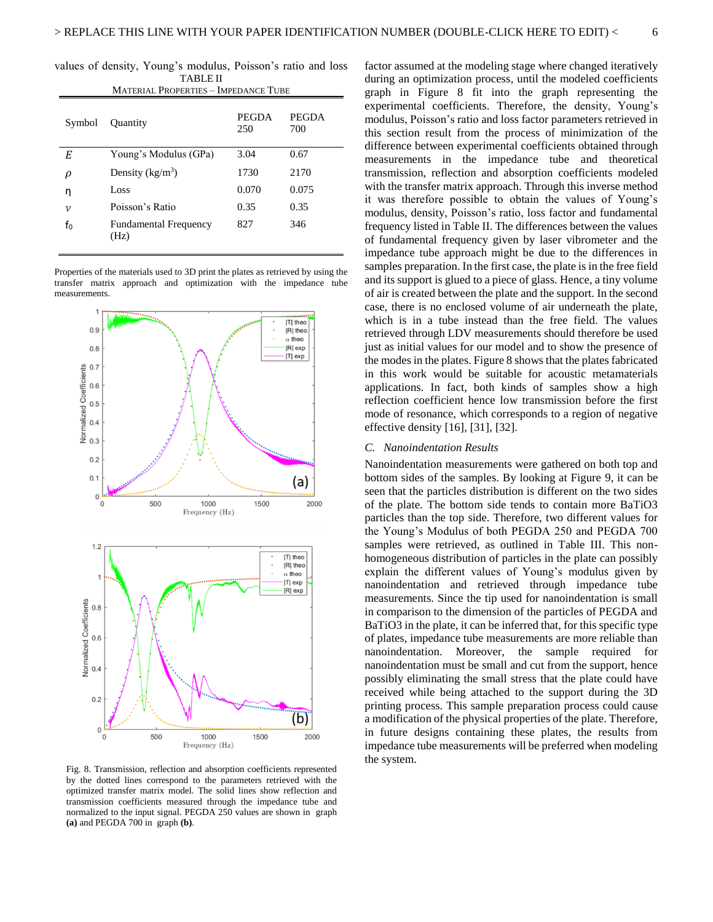TABLE II

| <b>MATERIAL PROPERTIES - IMPEDANCE TUBE</b> |                                      |                     |                     |  |
|---------------------------------------------|--------------------------------------|---------------------|---------------------|--|
| Symbol                                      | <b>Ouantity</b>                      | <b>PEGDA</b><br>250 | <b>PEGDA</b><br>700 |  |
| Е                                           | Young's Modulus (GPa)                | 3.04                | 0.67                |  |
| ρ                                           | Density $(kg/m^3)$                   | 1730                | 2170                |  |
| η                                           | Loss                                 | 0.070               | 0.075               |  |
| $\boldsymbol{\nu}$                          | Poisson's Ratio                      | 0.35                | 0.35                |  |
| fo                                          | <b>Fundamental Frequency</b><br>(Hz) | 827                 | 346                 |  |

Properties of the materials used to 3D print the plates as retrieved by using the transfer matrix approach and optimization with the impedance tube measurements.



Fig. 8. Transmission, reflection and absorption coefficients represented by the dotted lines correspond to the parameters retrieved with the optimized transfer matrix model. The solid lines show reflection and transmission coefficients measured through the impedance tube and normalized to the input signal. PEGDA 250 values are shown in graph **(a)** and PEGDA 700 in graph **(b)**.

values of density, Young's modulus, Poisson's ratio and loss factor assumed at the modeling stage where changed iteratively during an optimization process, until the modeled coefficients graph in Figure 8 fit into the graph representing the experimental coefficients. Therefore, the density, Young's modulus, Poisson's ratio and loss factor parameters retrieved in this section result from the process of minimization of the difference between experimental coefficients obtained through measurements in the impedance tube and theoretical transmission, reflection and absorption coefficients modeled with the transfer matrix approach. Through this inverse method it was therefore possible to obtain the values of Young's modulus, density, Poisson's ratio, loss factor and fundamental frequency listed in Table II. The differences between the values of fundamental frequency given by laser vibrometer and the impedance tube approach might be due to the differences in samples preparation. In the first case, the plate is in the free field and its support is glued to a piece of glass. Hence, a tiny volume of air is created between the plate and the support. In the second case, there is no enclosed volume of air underneath the plate, which is in a tube instead than the free field. The values retrieved through LDV measurements should therefore be used just as initial values for our model and to show the presence of the modes in the plates. Figure 8 shows that the plates fabricated in this work would be suitable for acoustic metamaterials applications. In fact, both kinds of samples show a high reflection coefficient hence low transmission before the first mode of resonance, which corresponds to a region of negative effective density [16], [31], [32].

## *C. Nanoindentation Results*

Nanoindentation measurements were gathered on both top and bottom sides of the samples. By looking at Figure 9, it can be seen that the particles distribution is different on the two sides of the plate. The bottom side tends to contain more BaTiO3 particles than the top side. Therefore, two different values for the Young's Modulus of both PEGDA 250 and PEGDA 700 samples were retrieved, as outlined in Table III. This nonhomogeneous distribution of particles in the plate can possibly explain the different values of Young's modulus given by nanoindentation and retrieved through impedance tube measurements. Since the tip used for nanoindentation is small in comparison to the dimension of the particles of PEGDA and BaTiO3 in the plate, it can be inferred that, for this specific type of plates, impedance tube measurements are more reliable than nanoindentation. Moreover, the sample required for nanoindentation must be small and cut from the support, hence possibly eliminating the small stress that the plate could have received while being attached to the support during the 3D printing process. This sample preparation process could cause a modification of the physical properties of the plate. Therefore, in future designs containing these plates, the results from impedance tube measurements will be preferred when modeling the system.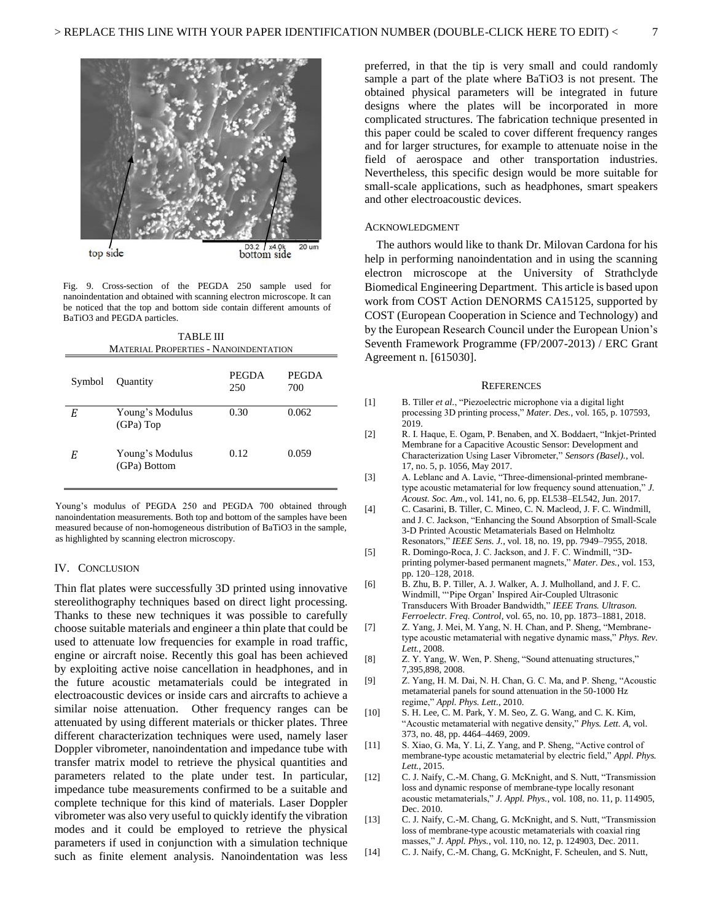

Fig. 9. Cross-section of the PEGDA 250 sample used for nanoindentation and obtained with scanning electron microscope. It can be noticed that the top and bottom side contain different amounts of BaTiO3 and PEGDA particles.

| TABLE III                                    |                                 |                     |                     |  |  |  |
|----------------------------------------------|---------------------------------|---------------------|---------------------|--|--|--|
| <b>MATERIAL PROPERTIES - NANOINDENTATION</b> |                                 |                     |                     |  |  |  |
| Symbol                                       | Quantity                        | <b>PEGDA</b><br>250 | <b>PEGDA</b><br>700 |  |  |  |
| E                                            | Young's Modulus<br>(GPa) Top    | 0.30                | 0.062               |  |  |  |
| E                                            | Young's Modulus<br>(GPa) Bottom | 0.12                | 0.059               |  |  |  |

Young's modulus of PEGDA 250 and PEGDA 700 obtained through nanoindentation measurements. Both top and bottom of the samples have been measured because of non-homogeneous distribution of BaTiO3 in the sample, as highlighted by scanning electron microscopy.

# IV. CONCLUSION

Thin flat plates were successfully 3D printed using innovative stereolithography techniques based on direct light processing. Thanks to these new techniques it was possible to carefully choose suitable materials and engineer a thin plate that could be used to attenuate low frequencies for example in road traffic, engine or aircraft noise. Recently this goal has been achieved by exploiting active noise cancellation in headphones, and in the future acoustic metamaterials could be integrated in electroacoustic devices or inside cars and aircrafts to achieve a similar noise attenuation. Other frequency ranges can be attenuated by using different materials or thicker plates. Three different characterization techniques were used, namely laser Doppler vibrometer, nanoindentation and impedance tube with transfer matrix model to retrieve the physical quantities and parameters related to the plate under test. In particular, impedance tube measurements confirmed to be a suitable and complete technique for this kind of materials. Laser Doppler vibrometer was also very useful to quickly identify the vibration modes and it could be employed to retrieve the physical parameters if used in conjunction with a simulation technique such as finite element analysis. Nanoindentation was less

preferred, in that the tip is very small and could randomly sample a part of the plate where BaTiO3 is not present. The obtained physical parameters will be integrated in future designs where the plates will be incorporated in more complicated structures. The fabrication technique presented in this paper could be scaled to cover different frequency ranges and for larger structures, for example to attenuate noise in the field of aerospace and other transportation industries. Nevertheless, this specific design would be more suitable for small-scale applications, such as headphones, smart speakers and other electroacoustic devices.

#### ACKNOWLEDGMENT

The authors would like to thank Dr. Milovan Cardona for his help in performing nanoindentation and in using the scanning electron microscope at the University of Strathclyde Biomedical Engineering Department. This article is based upon work from COST Action DENORMS CA15125, supported by COST (European Cooperation in Science and Technology) and by the European Research Council under the European Union's Seventh Framework Programme (FP/2007-2013) / ERC Grant Agreement n. [615030].

#### **REFERENCES**

- [1] B. Tiller *et al.*, "Piezoelectric microphone via a digital light processing 3D printing process," *Mater. Des.*, vol. 165, p. 107593, 2019.
- [2] R. I. Haque, E. Ogam, P. Benaben, and X. Boddaert, "Inkjet-Printed Membrane for a Capacitive Acoustic Sensor: Development and Characterization Using Laser Vibrometer," *Sensors (Basel).*, vol. 17, no. 5, p. 1056, May 2017.
- [3] A. Leblanc and A. Lavie, "Three-dimensional-printed membranetype acoustic metamaterial for low frequency sound attenuation," *J. Acoust. Soc. Am.*, vol. 141, no. 6, pp. EL538–EL542, Jun. 2017.
- [4] C. Casarini, B. Tiller, C. Mineo, C. N. Macleod, J. F. C. Windmill, and J. C. Jackson, "Enhancing the Sound Absorption of Small-Scale 3-D Printed Acoustic Metamaterials Based on Helmholtz Resonators," *IEEE Sens. J.*, vol. 18, no. 19, pp. 7949–7955, 2018.
- [5] R. Domingo-Roca, J. C. Jackson, and J. F. C. Windmill, "3Dprinting polymer-based permanent magnets," *Mater. Des.*, vol. 153, pp. 120–128, 2018.
- [6] B. Zhu, B. P. Tiller, A. J. Walker, A. J. Mulholland, and J. F. C. Windmill, "'Pipe Organ' Inspired Air-Coupled Ultrasonic Transducers With Broader Bandwidth," *IEEE Trans. Ultrason. Ferroelectr. Freq. Control*, vol. 65, no. 10, pp. 1873–1881, 2018.
- [7] Z. Yang, J. Mei, M. Yang, N. H. Chan, and P. Sheng, "Membranetype acoustic metamaterial with negative dynamic mass," *Phys. Rev. Lett.*, 2008.
- [8] Z. Y. Yang, W. Wen, P. Sheng, "Sound attenuating structures," 7,395,898, 2008.
- [9] Z. Yang, H. M. Dai, N. H. Chan, G. C. Ma, and P. Sheng, "Acoustic metamaterial panels for sound attenuation in the 50-1000 Hz regime," *Appl. Phys. Lett.*, 2010.
- [10] S. H. Lee, C. M. Park, Y. M. Seo, Z. G. Wang, and C. K. Kim, "Acoustic metamaterial with negative density," *Phys. Lett. A*, vol. 373, no. 48, pp. 4464–4469, 2009.
- [11] S. Xiao, G. Ma, Y. Li, Z. Yang, and P. Sheng, "Active control of membrane-type acoustic metamaterial by electric field," *Appl. Phys. Lett.*, 2015.
- [12] C. J. Naify, C.-M. Chang, G. McKnight, and S. Nutt, "Transmission loss and dynamic response of membrane-type locally resonant acoustic metamaterials," *J. Appl. Phys.*, vol. 108, no. 11, p. 114905, Dec. 2010.
- [13] C. J. Naify, C.-M. Chang, G. McKnight, and S. Nutt, "Transmission loss of membrane-type acoustic metamaterials with coaxial ring masses," *J. Appl. Phys.*, vol. 110, no. 12, p. 124903, Dec. 2011.
- [14] C. J. Naify, C.-M. Chang, G. McKnight, F. Scheulen, and S. Nutt,